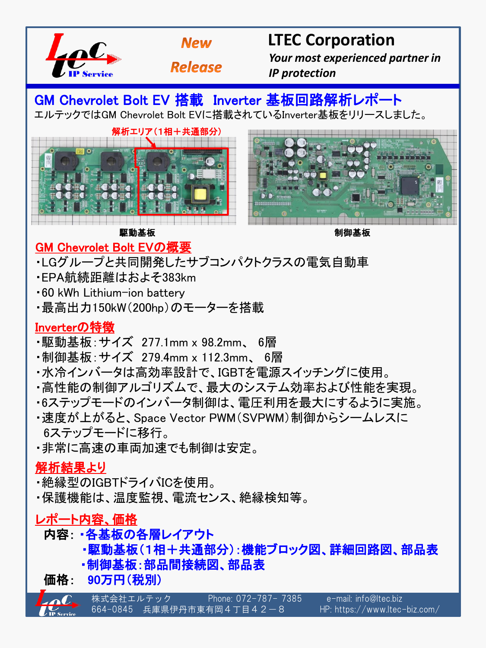



**Release** 

# **LTEC Corporation**

 *Your most experienced partner in IP protection*

GM Chevrolet Bolt EV 搭載 Inverter 基板回路解析レポート エルテックではGM Chevrolet Bolt EVに搭載されているInverter基板をリリースしました。





**駆動基板 しょうしょう しゅうしょう おおおお かいしょう かいきょう かいきょう** 制御基板

### GM Chevrolet Bolt EVの概要

・LGグループと共同開発したサブコンパクトクラスの電気自動車

- ・EPA航続距離はおよそ383km
- ・60 kWh Lithium-ion battery
- ・最高 出力150kW(200hp)のモーターを搭載

#### Inverterの特徴

- ・駆動基板:サイズ 277.1mm x 98.2mm、 6層
- ・制御基板:サイズ 279.4mm x 112.3mm、 6層
- ・水冷インバータは高効率設計で、IGBTを電源スイッチングに使用。
- ・高性能の制御アルゴリズムで、最大のシステム効率および性能を実現。
- ・6ステップモードのインバータ制御は、電圧利用を最大にするように実施。
- ・速度が上がると、Space Vector PWM(SVPWM)制御からシームレスに 6ステップモードに移行。
- ・非常に高速の車両加速でも制御は安定。

#### 解析結果より

- ・絶縁型のIGBTドライバICを使用。
- ・保護機能は、温度監視、電流センス、絶縁検知等。

### レポート内容、価格

### 内容: ・各基板の各層レイアウト

- ・駆動基板(1相+共通部分):機能ブロック図、詳細回路図、部品表
- ・制御基板:部品間接続図、部品表
- 価格: 90万円(税別)

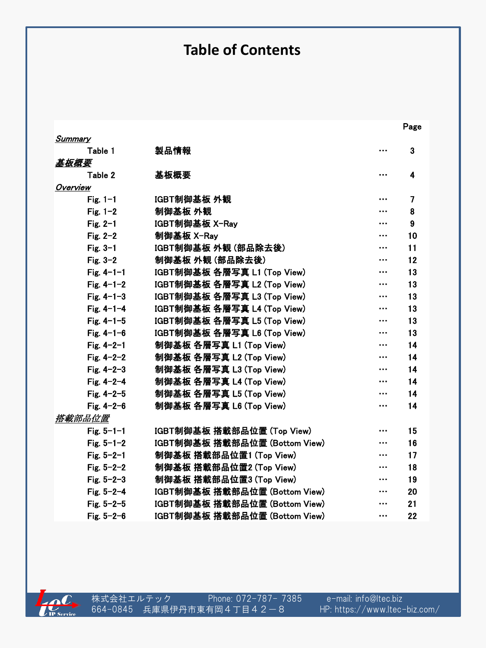## **Table of Contents**

the contract of the contract of the contract of the contract of the contract of the contract of the contract of the contract of the contract of the contract of the contract of the contract of the contract of the contract o

| Summary          |                               |          |    |
|------------------|-------------------------------|----------|----|
| Table 1          | 製品情報                          |          | 3  |
| 基板概要             |                               |          |    |
| Table 2          | 基板概要                          |          | 4  |
| Overview         |                               |          |    |
| Fig. $1-1$       | IGBT制御基板 外観                   |          | 7  |
| Fig. $1-2$       | 制御基板 外観                       |          | 8  |
| Fig. $2-1$       | IGBT制御基板 X-Ray                |          | 9  |
| Fig. $2-2$       | 制御基板 X-Ray                    |          | 10 |
| Fig. $3-1$       | IGBT制御基板 外観 (部品除去後)           |          | 11 |
| Fig. $3-2$       | 制御基板 外観 (部品除去後)               |          | 12 |
| Fig. $4 - 1 - 1$ | IGBT制御基板 各層写真 L1 (Top View)   | $\cdots$ | 13 |
| Fig. $4 - 1 - 2$ | IGBT制御基板 各層写真 L2 (Top View)   |          | 13 |
| Fig. $4 - 1 - 3$ | IGBT制御基板 各層写真 L3 (Top View)   |          | 13 |
| Fig. $4 - 1 - 4$ | IGBT制御基板 各層写真 L4 (Top View)   |          | 13 |
| Fig. $4 - 1 - 5$ | IGBT制御基板 各層写真 L5 (Top View)   | $\cdots$ | 13 |
| Fig. $4 - 1 - 6$ | IGBT制御基板 各層写真 L6 (Top View)   |          | 13 |
| Fig. $4 - 2 - 1$ | 制御基板 各層写真 L1 (Top View)       |          | 14 |
| Fig. $4 - 2 - 2$ | 制御基板 各層写真 L2 (Top View)       | $\cdots$ | 14 |
| Fig. $4 - 2 - 3$ | 制御基板 各層写真 L3 (Top View)       |          | 14 |
| Fig. $4 - 2 - 4$ | 制御基板 各層写真 L4 (Top View)       |          | 14 |
| Fig. $4 - 2 - 5$ | 制御基板 各層写真 L5 (Top View)       |          | 14 |
| Fig. $4 - 2 - 6$ | 制御基板 各層写真 L6 (Top View)       | $\cdots$ | 14 |
| 搭載部品位置           |                               |          |    |
| Fig. $5 - 1 - 1$ | IGBT制御基板 搭載部品位置 (Top View)    |          | 15 |
| Fig. $5 - 1 - 2$ | IGBT制御基板 搭載部品位置 (Bottom View) |          | 16 |
| Fig. $5 - 2 - 1$ | 制御基板 搭載部品位置1 (Top View)       |          | 17 |
| Fig. $5 - 2 - 2$ | 制御基板 搭載部品位置2 (Top View)       |          | 18 |
| Fig. $5 - 2 - 3$ | 制御基板 搭載部品位置3 (Top View)       |          | 19 |
| Fig. $5 - 2 - 4$ | IGBT制御基板 搭載部品位置 (Bottom View) |          | 20 |
| Fig. $5 - 2 - 5$ | IGBT制御基板 搭載部品位置 (Bottom View) |          | 21 |
| Fig. $5 - 2 - 6$ | IGBT制御基板 搭載部品位置 (Bottom View) | $\cdots$ | 22 |